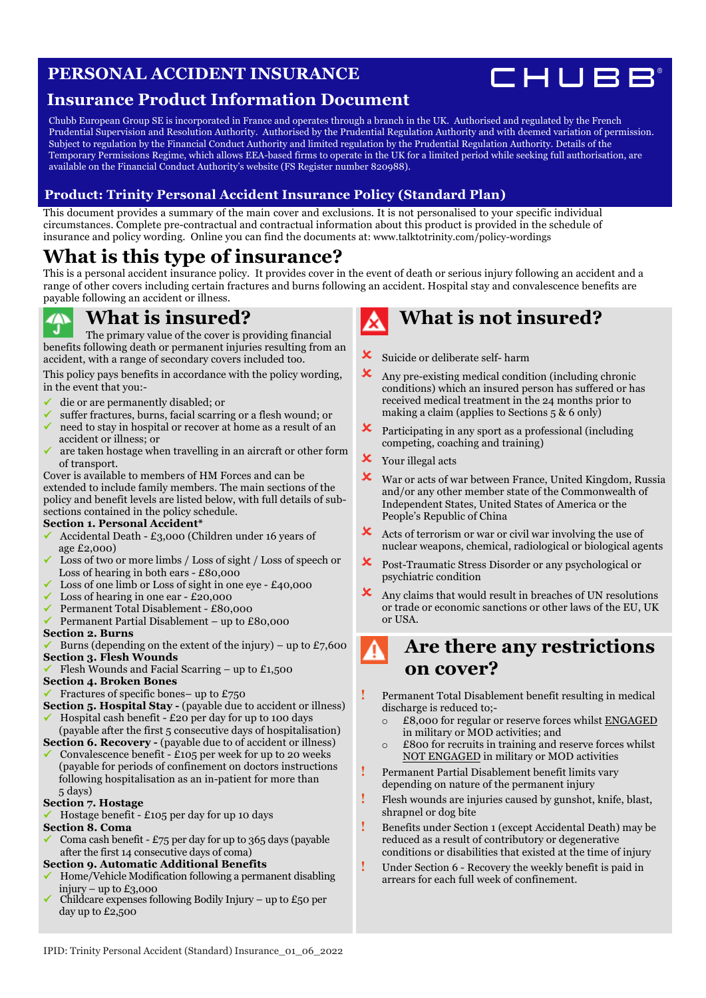### **PERSONAL ACCIDENT INSURANCE**



### **Insurance Product Information Document**

Chubb European Group SE is incorporated in France and operates through a branch in the UK. Authorised and regulated by the French Prudential Supervision and Resolution Authority. Authorised by the Prudential Regulation Authority and with deemed variation of permission. Subject to regulation by the Financial Conduct Authority and limited regulation by the Prudential Regulation Authority. Details of the Temporary Permissions Regime, which allows EEA-based firms to operate in the UK for a limited period while seeking full authorisation, are available on the Financial Conduct Authority's website (FS Register number 820988).

### **Product: Trinity Personal Accident Insurance Policy (Standard Plan)**

This document provides a summary of the main cover and exclusions. It is not personalised to your specific individual circumstances. Complete pre-contractual and contractual information about this product is provided in the schedule of insurance and policy wording. Online you can find the documents at: [www.talktotrinity.com/policy-wordings](https://www.talktotrinity.com/policy-wordings)

### **What is this type of insurance?**

This is a personal accident insurance policy. It provides cover in the event of death or serious injury following an accident and a range of other covers including certain fractures and burns following an accident. Hospital stay and convalescence benefits are payable following an accident or illness.

### **What is insured?**

The primary value of the cover is providing financial benefits following death or permanent injuries resulting from an accident, with a range of secondary covers included too.

This policy pays benefits in accordance with the policy wording, in the event that you:-

- ü die or are permanently disabled; or
- suffer fractures, burns, facial scarring or a flesh wound; or ü need to stay in hospital or recover at home as a result of an
- accident or illness; or ü are taken hostage when travelling in an aircraft or other form of transport.

Cover is available to members of HM Forces and can be extended to include family members. The main sections of the policy and benefit levels are listed below, with full details of subsections contained in the policy schedule.

#### **Section 1. Personal Accident\***

- ü Accidental Death £3,000 (Children under 16 years of age £2,000)
- Loss of two or more limbs / Loss of sight / Loss of speech or Loss of hearing in both ears - £80,000
- Loss of one limb or Loss of sight in one eye  $£40,000$
- Loss of hearing in one ear £20,000
- ü Permanent Total Disablement £80,000
- ü Permanent Partial Disablement up to £80,000

#### **Section 2. Burns**

- Burns (depending on the extent of the injury) up to  $£7,600$ **Section 3. Flesh Wounds**
- Flesh Wounds and Facial Scarring up to £1,500

#### **Section 4. Broken Bones**

- Fractures of specific bones– up to  $£750$
- **Section 5. Hospital Stay** (payable due to accident or illness) Hospital cash benefit - £20 per day for up to 100 days
- (payable after the first 5 consecutive days of hospitalisation)
- **Section 6. Recovery (payable due to of accident or illness)** Convalescence benefit -  $£105$  per week for up to 20 weeks (payable for periods of confinement on doctors instructions following hospitalisation as an in-patient for more than 5 days)

### **Section 7. Hostage**

ü Hostage benefit - £105 per day for up 10 days

- **Section 8. Coma**
- Coma cash benefit  $£75$  per day for up to 365 days (payable after the first 14 consecutive days of coma)
- **Section 9. Automatic Additional Benefits**
- ü Home/Vehicle Modification following a permanent disabling injury – up to  $£3,000$
- Childcare expenses following Bodily Injury up to £50 per day up to  $\overline{2,500}$

# **What is not insured?**

- **X** Suicide or deliberate self- harm
- $\mathbf{\times}$  Any pre-existing medical condition (including chronic conditions) which an insured person has suffered or has received medical treatment in the 24 months prior to making a claim (applies to Sections 5 & 6 only)
- ! Participating in any sport as a professional (including competing, coaching and training)
- **X** Your illegal acts
- X War or acts of war between France, United Kingdom, Russia and/or any other member state of the Commonwealth of Independent States, United States of America or the People's Republic of China
- $\boldsymbol{\times}$  Acts of terrorism or war or civil war involving the use of nuclear weapons, chemical, radiological or biological agents
- ! Post-Traumatic Stress Disorder or any psychological or psychiatric condition
- ! Any claims that would result in breaches of UN resolutions or trade or economic sanctions or other laws of the EU, UK or USA.

### **Are there any restrictions on cover?**

- **!** Permanent Total Disablement benefit resulting in medical discharge is reduced to;
	- o £8,000 for regular or reserve forces whilst ENGAGED in military or MOD activities; and
	- o £800 for recruits in training and reserve forces whilst NOT ENGAGED in military or MOD activities
- **!** Permanent Partial Disablement benefit limits vary depending on nature of the permanent injury
- **!** Flesh wounds are injuries caused by gunshot, knife, blast, shrapnel or dog bite
- **!** Benefits under Section 1 (except Accidental Death) may be reduced as a result of contributory or degenerative conditions or disabilities that existed at the time of injury
- **!** Under Section 6 Recovery the weekly benefit is paid in arrears for each full week of confinement.